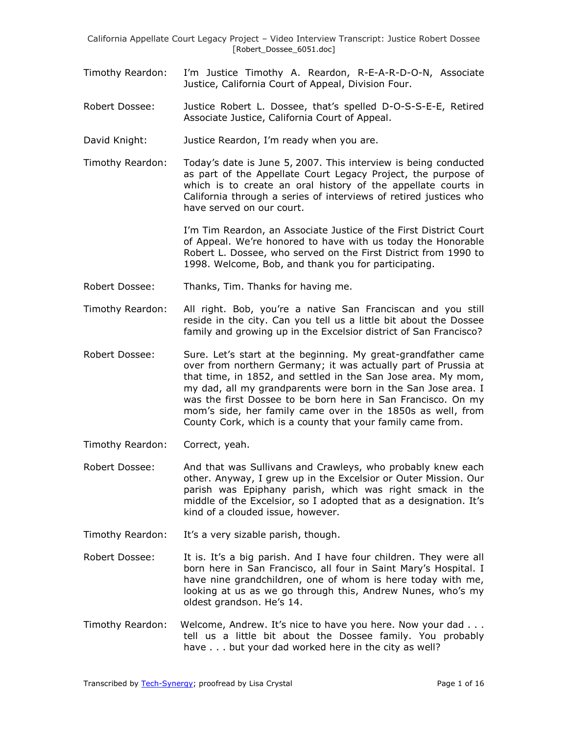- Timothy Reardon: I'm Justice Timothy A. Reardon, R-E-A-R-D-O-N, Associate Justice, California Court of Appeal, Division Four.
- Robert Dossee: Justice Robert L. Dossee, that's spelled D-O-S-S-E-E, Retired Associate Justice, California Court of Appeal.
- David Knight: Justice Reardon, I'm ready when you are.
- Timothy Reardon: Today's date is June 5, 2007. This interview is being conducted as part of the Appellate Court Legacy Project, the purpose of which is to create an oral history of the appellate courts in California through a series of interviews of retired justices who have served on our court.

I'm Tim Reardon, an Associate Justice of the First District Court of Appeal. We're honored to have with us today the Honorable Robert L. Dossee, who served on the First District from 1990 to 1998. Welcome, Bob, and thank you for participating.

- Robert Dossee: Thanks, Tim. Thanks for having me.
- Timothy Reardon: All right. Bob, you're a native San Franciscan and you still reside in the city. Can you tell us a little bit about the Dossee family and growing up in the Excelsior district of San Francisco?
- Robert Dossee: Sure. Let's start at the beginning. My great-grandfather came over from northern Germany; it was actually part of Prussia at that time, in 1852, and settled in the San Jose area. My mom, my dad, all my grandparents were born in the San Jose area. I was the first Dossee to be born here in San Francisco. On my mom's side, her family came over in the 1850s as well, from County Cork, which is a county that your family came from.
- Timothy Reardon: Correct, yeah.
- Robert Dossee: And that was Sullivans and Crawleys, who probably knew each other. Anyway, I grew up in the Excelsior or Outer Mission. Our parish was Epiphany parish, which was right smack in the middle of the Excelsior, so I adopted that as a designation. It's kind of a clouded issue, however.
- Timothy Reardon: It's a very sizable parish, though.
- Robert Dossee: It is. It's a big parish. And I have four children. They were all born here in San Francisco, all four in Saint Mary's Hospital. I have nine grandchildren, one of whom is here today with me, looking at us as we go through this, Andrew Nunes, who's my oldest grandson. He's 14.
- Timothy Reardon: Welcome, Andrew. It's nice to have you here. Now your dad . . . tell us a little bit about the Dossee family. You probably have . . . but your dad worked here in the city as well?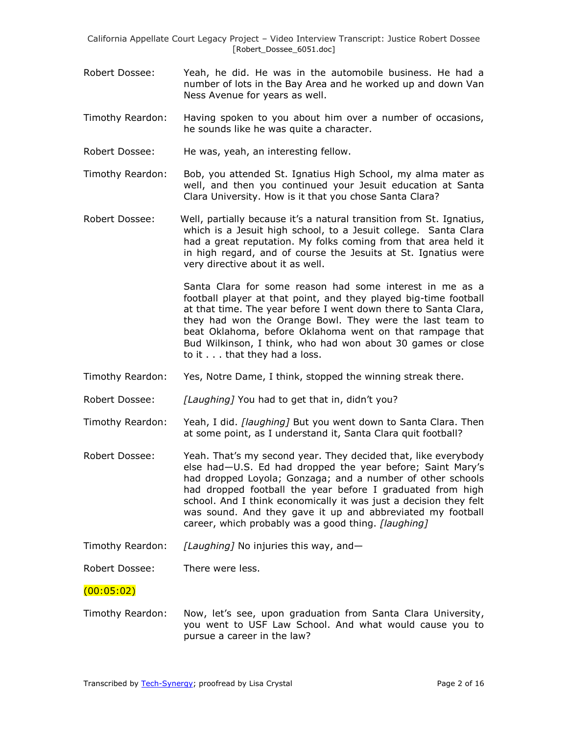- Robert Dossee: Yeah, he did. He was in the automobile business. He had a number of lots in the Bay Area and he worked up and down Van Ness Avenue for years as well.
- Timothy Reardon: Having spoken to you about him over a number of occasions, he sounds like he was quite a character.
- Robert Dossee: He was, yeah, an interesting fellow.
- Timothy Reardon: Bob, you attended St. Ignatius High School, my alma mater as well, and then you continued your Jesuit education at Santa Clara University. How is it that you chose Santa Clara?
- Robert Dossee: Well, partially because it's a natural transition from St. Ignatius, which is a Jesuit high school, to a Jesuit college. Santa Clara had a great reputation. My folks coming from that area held it in high regard, and of course the Jesuits at St. Ignatius were very directive about it as well.

Santa Clara for some reason had some interest in me as a football player at that point, and they played big-time football at that time. The year before I went down there to Santa Clara, they had won the Orange Bowl. They were the last team to beat Oklahoma, before Oklahoma went on that rampage that Bud Wilkinson, I think, who had won about 30 games or close to it . . . that they had a loss.

- Timothy Reardon: Yes, Notre Dame, I think, stopped the winning streak there.
- Robert Dossee: *[Laughing]* You had to get that in, didn't you?
- Timothy Reardon: Yeah, I did. *[laughing]* But you went down to Santa Clara. Then at some point, as I understand it, Santa Clara quit football?
- Robert Dossee: Yeah. That's my second year. They decided that, like everybody else had—U.S. Ed had dropped the year before; Saint Mary's had dropped Loyola; Gonzaga; and a number of other schools had dropped football the year before I graduated from high school. And I think economically it was just a decision they felt was sound. And they gave it up and abbreviated my football career, which probably was a good thing. *[laughing]*
- Timothy Reardon: *[Laughing]* No injuries this way, and—

Robert Dossee: There were less.

## $(00:05:02)$

Timothy Reardon: Now, let's see, upon graduation from Santa Clara University, you went to USF Law School. And what would cause you to pursue a career in the law?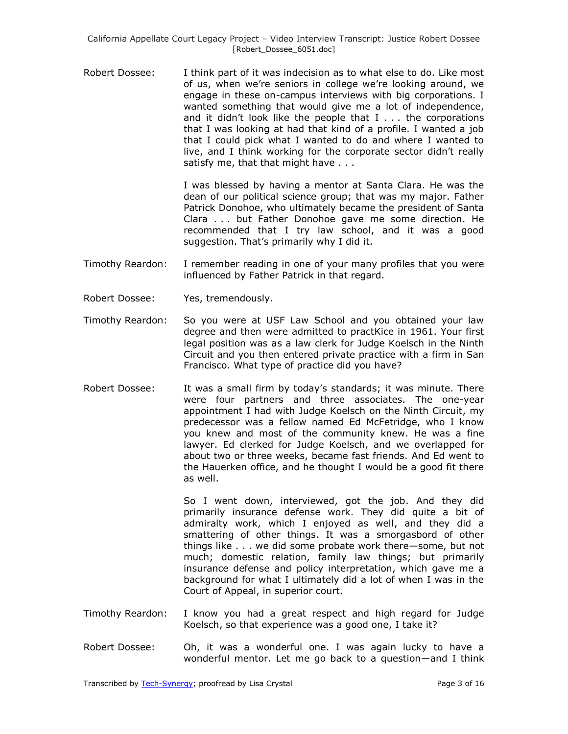Robert Dossee: I think part of it was indecision as to what else to do. Like most of us, when we're seniors in college we're looking around, we engage in these on-campus interviews with big corporations. I wanted something that would give me a lot of independence, and it didn't look like the people that I . . . the corporations that I was looking at had that kind of a profile. I wanted a job that I could pick what I wanted to do and where I wanted to live, and I think working for the corporate sector didn't really satisfy me, that that might have . . .

> I was blessed by having a mentor at Santa Clara. He was the dean of our political science group; that was my major. Father Patrick Donohoe, who ultimately became the president of Santa Clara . . . but Father Donohoe gave me some direction. He recommended that I try law school, and it was a good suggestion. That's primarily why I did it.

- Timothy Reardon: I remember reading in one of your many profiles that you were influenced by Father Patrick in that regard.
- Robert Dossee: Yes, tremendously.
- Timothy Reardon: So you were at USF Law School and you obtained your law degree and then were admitted to practKice in 1961. Your first legal position was as a law clerk for Judge Koelsch in the Ninth Circuit and you then entered private practice with a firm in San Francisco. What type of practice did you have?
- Robert Dossee: It was a small firm by today's standards; it was minute. There were four partners and three associates. The one-year appointment I had with Judge Koelsch on the Ninth Circuit, my predecessor was a fellow named Ed McFetridge, who I know you knew and most of the community knew. He was a fine lawyer. Ed clerked for Judge Koelsch, and we overlapped for about two or three weeks, became fast friends. And Ed went to the Hauerken office, and he thought I would be a good fit there as well.

So I went down, interviewed, got the job. And they did primarily insurance defense work. They did quite a bit of admiralty work, which I enjoyed as well, and they did a smattering of other things. It was a smorgasbord of other things like . . . we did some probate work there—some, but not much; domestic relation, family law things; but primarily insurance defense and policy interpretation, which gave me a background for what I ultimately did a lot of when I was in the Court of Appeal, in superior court.

- Timothy Reardon: I know you had a great respect and high regard for Judge Koelsch, so that experience was a good one, I take it?
- Robert Dossee: Oh, it was a wonderful one. I was again lucky to have a wonderful mentor. Let me go back to a question—and I think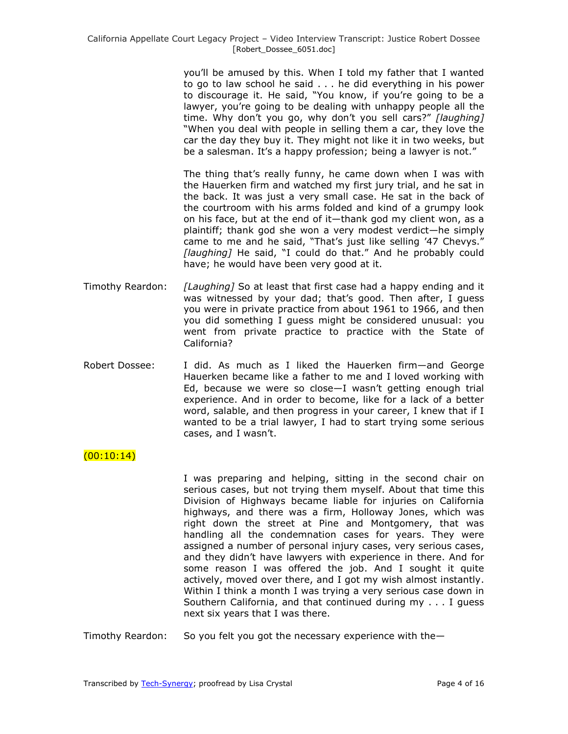you'll be amused by this. When I told my father that I wanted to go to law school he said . . . he did everything in his power to discourage it. He said, "You know, if you're going to be a lawyer, you're going to be dealing with unhappy people all the time. Why don't you go, why don't you sell cars?" [laughing] "When you deal with people in selling them a car, they love the car the day they buy it. They might not like it in two weeks, but be a salesman. It's a happy profession; being a lawyer is not."

The thing that's really funny, he came down when I was with the Hauerken firm and watched my first jury trial, and he sat in the back. It was just a very small case. He sat in the back of the courtroom with his arms folded and kind of a grumpy look on his face, but at the end of it—thank god my client won, as a plaintiff; thank god she won a very modest verdict—he simply came to me and he said, "That's just like selling '47 Chevys." [laughing] He said, "I could do that." And he probably could have; he would have been very good at it.

- Timothy Reardon: *[Laughing]* So at least that first case had a happy ending and it was witnessed by your dad; that's good. Then after, I guess you were in private practice from about 1961 to 1966, and then you did something I guess might be considered unusual: you went from private practice to practice with the State of California?
- Robert Dossee: I did. As much as I liked the Hauerken firm—and George Hauerken became like a father to me and I loved working with Ed, because we were so close—I wasn't getting enough trial experience. And in order to become, like for a lack of a better word, salable, and then progress in your career, I knew that if I wanted to be a trial lawyer, I had to start trying some serious cases, and I wasn't.

 $(00:10:14)$ 

I was preparing and helping, sitting in the second chair on serious cases, but not trying them myself. About that time this Division of Highways became liable for injuries on California highways, and there was a firm, Holloway Jones, which was right down the street at Pine and Montgomery, that was handling all the condemnation cases for years. They were assigned a number of personal injury cases, very serious cases, and they didn't have lawyers with experience in there. And for some reason I was offered the job. And I sought it quite actively, moved over there, and I got my wish almost instantly. Within I think a month I was trying a very serious case down in Southern California, and that continued during my . . . I guess next six years that I was there.

Timothy Reardon: So you felt you got the necessary experience with the—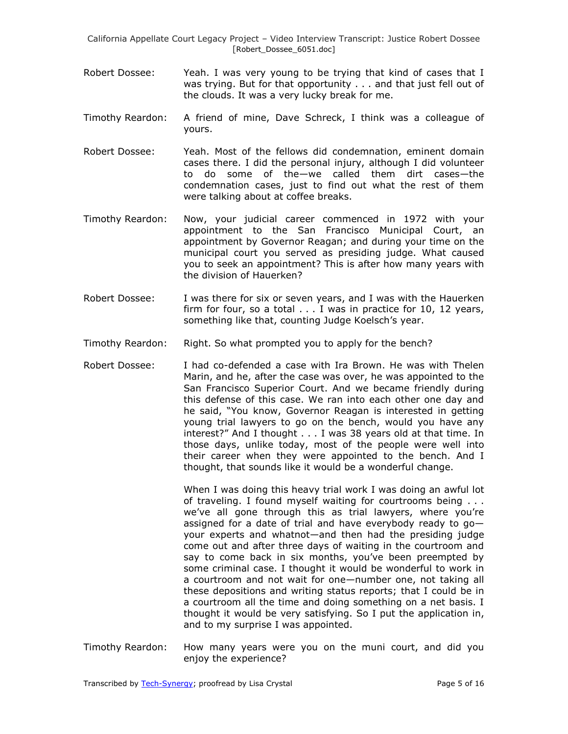- Robert Dossee: Yeah. I was very young to be trying that kind of cases that I was trying. But for that opportunity . . . and that just fell out of the clouds. It was a very lucky break for me.
- Timothy Reardon: A friend of mine, Dave Schreck, I think was a colleague of yours.
- Robert Dossee: Yeah. Most of the fellows did condemnation, eminent domain cases there. I did the personal injury, although I did volunteer to do some of the—we called them dirt cases—the condemnation cases, just to find out what the rest of them were talking about at coffee breaks.
- Timothy Reardon: Now, your judicial career commenced in 1972 with your appointment to the San Francisco Municipal Court, an appointment by Governor Reagan; and during your time on the municipal court you served as presiding judge. What caused you to seek an appointment? This is after how many years with the division of Hauerken?
- Robert Dossee: I was there for six or seven years, and I was with the Hauerken firm for four, so a total . . . I was in practice for 10, 12 years, something like that, counting Judge Koelsch's year.
- Timothy Reardon: Right. So what prompted you to apply for the bench?
- Robert Dossee: I had co-defended a case with Ira Brown. He was with Thelen Marin, and he, after the case was over, he was appointed to the San Francisco Superior Court. And we became friendly during this defense of this case. We ran into each other one day and he said, "You know, Governor Reagan is interested in getting young trial lawyers to go on the bench, would you have any interest?" And I thought . . . I was 38 years old at that time. In those days, unlike today, most of the people were well into their career when they were appointed to the bench. And I thought, that sounds like it would be a wonderful change.

When I was doing this heavy trial work I was doing an awful lot of traveling. I found myself waiting for courtrooms being . . . we've all gone through this as trial lawyers, where you're assigned for a date of trial and have everybody ready to  $q_0$  your experts and whatnot—and then had the presiding judge come out and after three days of waiting in the courtroom and say to come back in six months, you've been preempted by some criminal case. I thought it would be wonderful to work in a courtroom and not wait for one—number one, not taking all these depositions and writing status reports; that I could be in a courtroom all the time and doing something on a net basis. I thought it would be very satisfying. So I put the application in, and to my surprise I was appointed.

Timothy Reardon: How many years were you on the muni court, and did you enjoy the experience?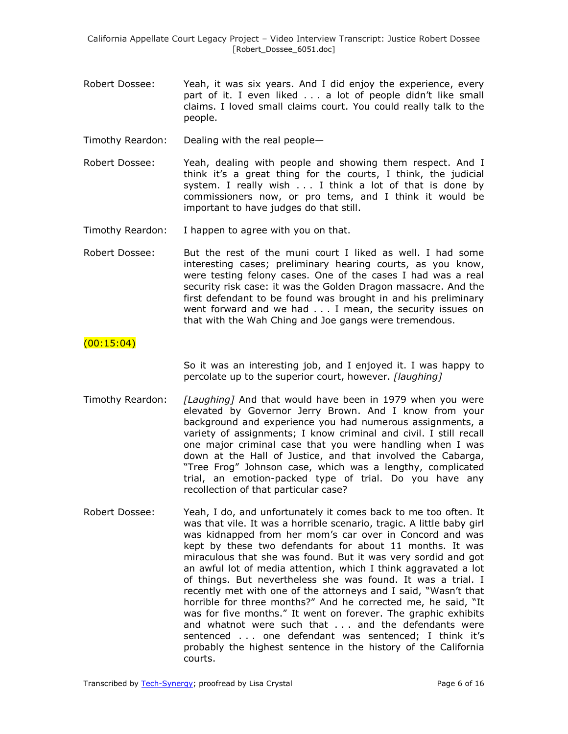- Robert Dossee: Yeah, it was six years. And I did enjoy the experience, every part of it. I even liked . . . a lot of people didn't like small claims. I loved small claims court. You could really talk to the people.
- Timothy Reardon: Dealing with the real people—
- Robert Dossee: Yeah, dealing with people and showing them respect. And I think it's a great thing for the courts, I think, the judicial system. I really wish . . . I think a lot of that is done by commissioners now, or pro tems, and I think it would be important to have judges do that still.
- Timothy Reardon: I happen to agree with you on that.
- Robert Dossee: But the rest of the muni court I liked as well. I had some interesting cases; preliminary hearing courts, as you know, were testing felony cases. One of the cases I had was a real security risk case: it was the Golden Dragon massacre. And the first defendant to be found was brought in and his preliminary went forward and we had . . . I mean, the security issues on that with the Wah Ching and Joe gangs were tremendous.

### $(00:15:04)$

So it was an interesting job, and I enjoyed it. I was happy to percolate up to the superior court, however. *[laughing]*

- Timothy Reardon: *[Laughing]* And that would have been in 1979 when you were elevated by Governor Jerry Brown. And I know from your background and experience you had numerous assignments, a variety of assignments; I know criminal and civil. I still recall one major criminal case that you were handling when I was down at the Hall of Justice, and that involved the Cabarga, "Tree Frog" Johnson case, which was a lengthy, complicated trial, an emotion-packed type of trial. Do you have any recollection of that particular case?
- Robert Dossee: Yeah, I do, and unfortunately it comes back to me too often. It was that vile. It was a horrible scenario, tragic. A little baby girl was kidnapped from her mom's car over in Concord and was kept by these two defendants for about 11 months. It was miraculous that she was found. But it was very sordid and got an awful lot of media attention, which I think aggravated a lot of things. But nevertheless she was found. It was a trial. I recently met with one of the attorneys and I said, "Wasn't that horrible for three months?" And he corrected me, he said, "It was for five months." It went on forever. The graphic exhibits and whatnot were such that . . . and the defendants were sentenced . . . one defendant was sentenced; I think it's probably the highest sentence in the history of the California courts.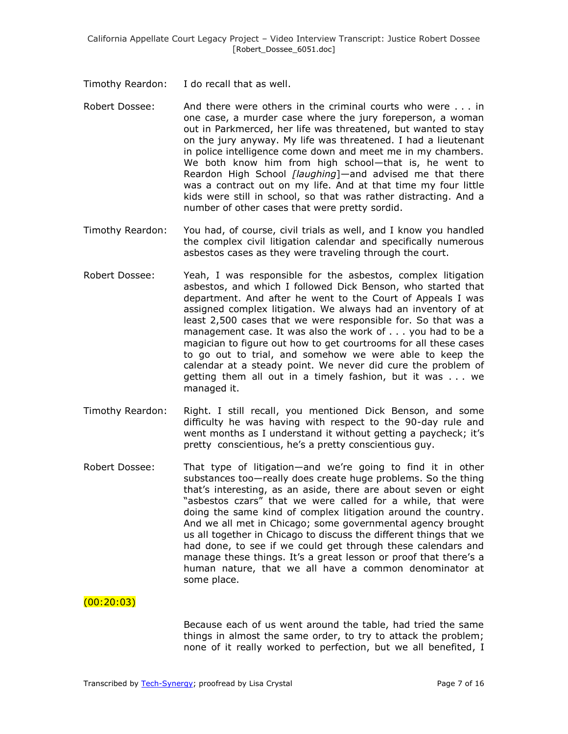Timothy Reardon: I do recall that as well.

- Robert Dossee: And there were others in the criminal courts who were . . . in one case, a murder case where the jury foreperson, a woman out in Parkmerced, her life was threatened, but wanted to stay on the jury anyway. My life was threatened. I had a lieutenant in police intelligence come down and meet me in my chambers. We both know him from high school—that is, he went to Reardon High School *[laughing*]—and advised me that there was a contract out on my life. And at that time my four little kids were still in school, so that was rather distracting. And a number of other cases that were pretty sordid.
- Timothy Reardon: You had, of course, civil trials as well, and I know you handled the complex civil litigation calendar and specifically numerous asbestos cases as they were traveling through the court.
- Robert Dossee: Yeah, I was responsible for the asbestos, complex litigation asbestos, and which I followed Dick Benson, who started that department. And after he went to the Court of Appeals I was assigned complex litigation. We always had an inventory of at least 2,500 cases that we were responsible for. So that was a management case. It was also the work of . . . you had to be a magician to figure out how to get courtrooms for all these cases to go out to trial, and somehow we were able to keep the calendar at a steady point. We never did cure the problem of getting them all out in a timely fashion, but it was . . . we managed it.
- Timothy Reardon: Right. I still recall, you mentioned Dick Benson, and some difficulty he was having with respect to the 90-day rule and went months as I understand it without getting a paycheck; it's pretty conscientious, he's a pretty conscientious guy.
- Robert Dossee: That type of litigation—and we're going to find it in other substances too—really does create huge problems. So the thing that's interesting, as an aside, there are about seven or eight "asbestos czars" that we were called for a while, that were doing the same kind of complex litigation around the country. And we all met in Chicago; some governmental agency brought us all together in Chicago to discuss the different things that we had done, to see if we could get through these calendars and manage these things. It's a great lesson or proof that there's a human nature, that we all have a common denominator at some place.

## $(00:20:03)$

Because each of us went around the table, had tried the same things in almost the same order, to try to attack the problem; none of it really worked to perfection, but we all benefited, I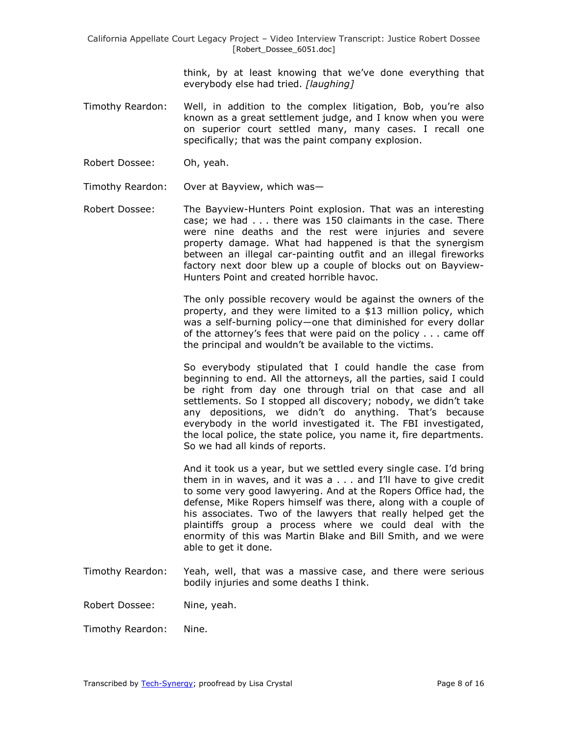> think, by at least knowing that we've done everything that everybody else had tried. *[laughing]*

- Timothy Reardon: Well, in addition to the complex litigation, Bob, you're also known as a great settlement judge, and I know when you were on superior court settled many, many cases. I recall one specifically; that was the paint company explosion.
- Robert Dossee: Oh, yeah.

Timothy Reardon: Over at Bayview, which was—

Robert Dossee: The Bayview-Hunters Point explosion. That was an interesting case; we had . . . there was 150 claimants in the case. There were nine deaths and the rest were injuries and severe property damage. What had happened is that the synergism between an illegal car-painting outfit and an illegal fireworks factory next door blew up a couple of blocks out on Bayview-Hunters Point and created horrible havoc.

> The only possible recovery would be against the owners of the property, and they were limited to a \$13 million policy, which was a self-burning policy—one that diminished for every dollar of the attorney's fees that were paid on the policy . . . came off the principal and wouldn't be available to the victims.

> So everybody stipulated that I could handle the case from beginning to end. All the attorneys, all the parties, said I could be right from day one through trial on that case and all settlements. So I stopped all discovery; nobody, we didn't take any depositions, we didn't do anything. That's because everybody in the world investigated it. The FBI investigated, the local police, the state police, you name it, fire departments. So we had all kinds of reports.

> And it took us a year, but we settled every single case. I'd bring them in in waves, and it was a . . . and I'll have to give credit to some very good lawyering. And at the Ropers Office had, the defense, Mike Ropers himself was there, along with a couple of his associates. Two of the lawyers that really helped get the plaintiffs group a process where we could deal with the enormity of this was Martin Blake and Bill Smith, and we were able to get it done.

Timothy Reardon: Yeah, well, that was a massive case, and there were serious bodily injuries and some deaths I think.

Robert Dossee: Nine, yeah.

Timothy Reardon: Nine.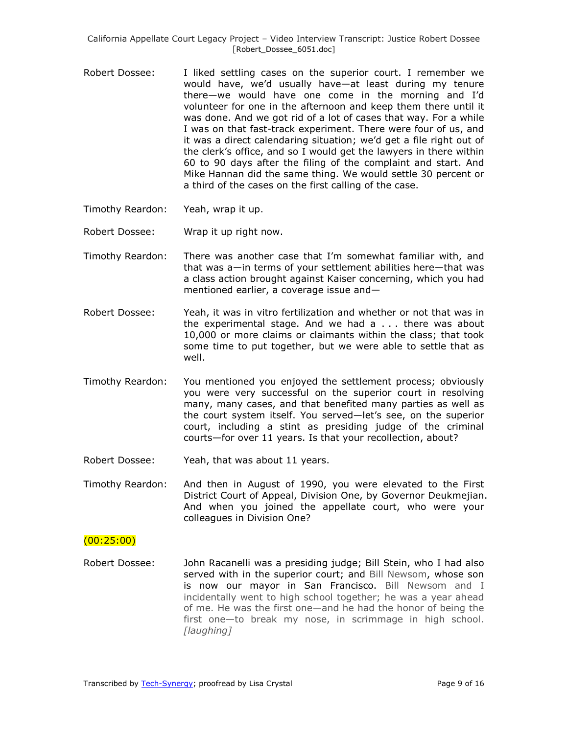- Robert Dossee: I liked settling cases on the superior court. I remember we would have, we'd usually have—at least during my tenure there—we would have one come in the morning and I'd volunteer for one in the afternoon and keep them there until it was done. And we got rid of a lot of cases that way. For a while I was on that fast-track experiment. There were four of us, and it was a direct calendaring situation; we'd get a file right out of the clerk's office, and so I would get the lawyers in there within 60 to 90 days after the filing of the complaint and start. And Mike Hannan did the same thing. We would settle 30 percent or a third of the cases on the first calling of the case.
- Timothy Reardon: Yeah, wrap it up.
- Robert Dossee: Wrap it up right now.
- Timothy Reardon: There was another case that I'm somewhat familiar with, and that was a—in terms of your settlement abilities here—that was a class action brought against Kaiser concerning, which you had mentioned earlier, a coverage issue and—
- Robert Dossee: Yeah, it was in vitro fertilization and whether or not that was in the experimental stage. And we had a . . . there was about 10,000 or more claims or claimants within the class; that took some time to put together, but we were able to settle that as well.
- Timothy Reardon: You mentioned you enjoyed the settlement process; obviously you were very successful on the superior court in resolving many, many cases, and that benefited many parties as well as the court system itself. You served—let's see, on the superior court, including a stint as presiding judge of the criminal courts—for over 11 years. Is that your recollection, about?
- Robert Dossee: Yeah, that was about 11 years.
- Timothy Reardon: And then in August of 1990, you were elevated to the First District Court of Appeal, Division One, by Governor Deukmejian. And when you joined the appellate court, who were your colleagues in Division One?

#### (00:25:00)

Robert Dossee: John Racanelli was a presiding judge; Bill Stein, who I had also served with in the superior court; and Bill Newsom, whose son is now our mayor in San Francisco. Bill Newsom and I incidentally went to high school together; he was a year ahead of me. He was the first one—and he had the honor of being the first one—to break my nose, in scrimmage in high school. *[laughing]*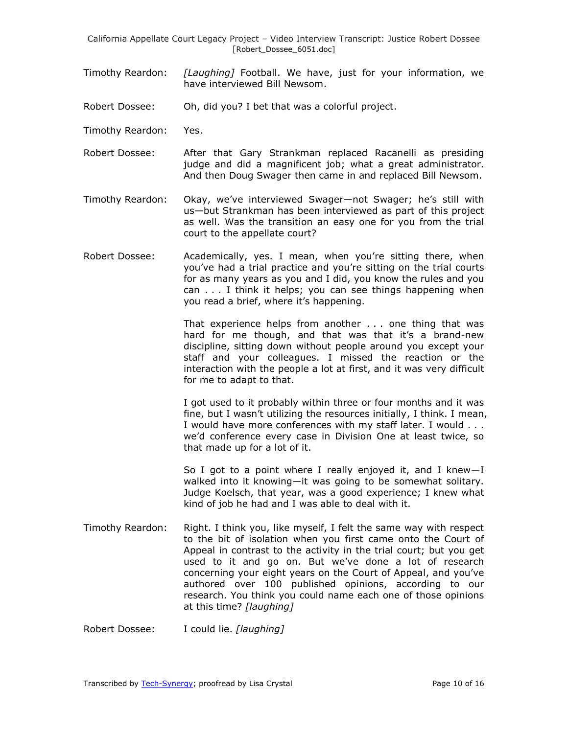- Timothy Reardon: *[Laughing]* Football. We have, just for your information, we have interviewed Bill Newsom.
- Robert Dossee: Oh, did you? I bet that was a colorful project.
- Timothy Reardon: Yes.
- Robert Dossee: After that Gary Strankman replaced Racanelli as presiding judge and did a magnificent job; what a great administrator. And then Doug Swager then came in and replaced Bill Newsom.
- Timothy Reardon: Okay, we've interviewed Swager—not Swager; he's still with us—but Strankman has been interviewed as part of this project as well. Was the transition an easy one for you from the trial court to the appellate court?
- Robert Dossee: Academically, yes. I mean, when you're sitting there, when you've had a trial practice and you're sitting on the trial courts for as many years as you and I did, you know the rules and you can . . . I think it helps; you can see things happening when you read a brief, where it's happening.

That experience helps from another . . . one thing that was hard for me though, and that was that it's a brand-new discipline, sitting down without people around you except your staff and your colleagues. I missed the reaction or the interaction with the people a lot at first, and it was very difficult for me to adapt to that.

I got used to it probably within three or four months and it was fine, but I wasn't utilizing the resources initially, I think. I mean, I would have more conferences with my staff later. I would . . . we'd conference every case in Division One at least twice, so that made up for a lot of it.

So I got to a point where I really enjoyed it, and I knew—I walked into it knowing—it was going to be somewhat solitary. Judge Koelsch, that year, was a good experience; I knew what kind of job he had and I was able to deal with it.

Timothy Reardon: Right. I think you, like myself, I felt the same way with respect to the bit of isolation when you first came onto the Court of Appeal in contrast to the activity in the trial court; but you get used to it and go on. But we've done a lot of research concerning your eight years on the Court of Appeal, and you've authored over 100 published opinions, according to our research. You think you could name each one of those opinions at this time? *[laughing]*

Robert Dossee: I could lie. *[laughing]*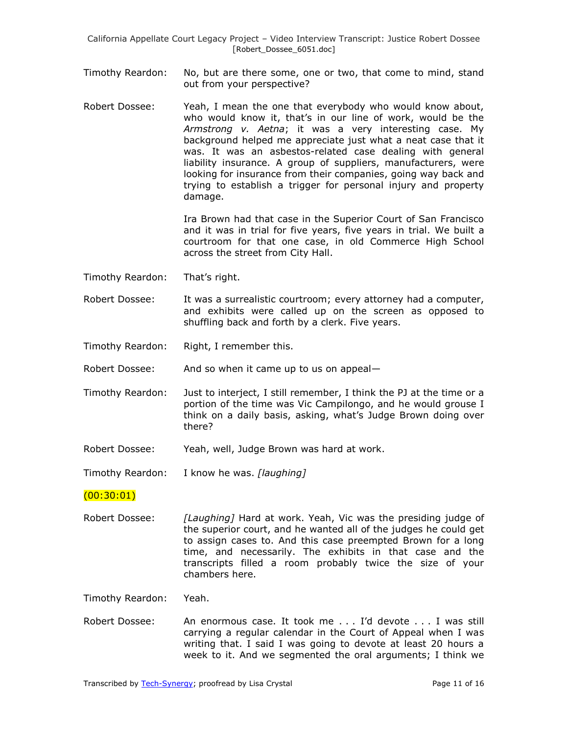- Timothy Reardon: No, but are there some, one or two, that come to mind, stand out from your perspective?
- Robert Dossee: Yeah, I mean the one that everybody who would know about, who would know it, that's in our line of work, would be the *Armstrong v. Aetna*; it was a very interesting case. My background helped me appreciate just what a neat case that it was. It was an asbestos-related case dealing with general liability insurance. A group of suppliers, manufacturers, were looking for insurance from their companies, going way back and trying to establish a trigger for personal injury and property damage.

Ira Brown had that case in the Superior Court of San Francisco and it was in trial for five years, five years in trial. We built a courtroom for that one case, in old Commerce High School across the street from City Hall.

- Timothy Reardon: That's right.
- Robert Dossee: It was a surrealistic courtroom; every attorney had a computer, and exhibits were called up on the screen as opposed to shuffling back and forth by a clerk. Five years.
- Timothy Reardon: Right, I remember this.

Robert Dossee: And so when it came up to us on appeal—

- Timothy Reardon: Just to interject, I still remember, I think the PJ at the time or a portion of the time was Vic Campilongo, and he would grouse I think on a daily basis, asking, what's Judge Brown doing over there?
- Robert Dossee: Yeah, well, Judge Brown was hard at work.

Timothy Reardon: I know he was. *[laughing]*

#### $(00:30:01)$

Robert Dossee: *[Laughing]* Hard at work. Yeah, Vic was the presiding judge of the superior court, and he wanted all of the judges he could get to assign cases to. And this case preempted Brown for a long time, and necessarily. The exhibits in that case and the transcripts filled a room probably twice the size of your chambers here.

Timothy Reardon: Yeah.

Robert Dossee: An enormous case. It took me . . . I'd devote . . . I was still carrying a regular calendar in the Court of Appeal when I was writing that. I said I was going to devote at least 20 hours a week to it. And we segmented the oral arguments; I think we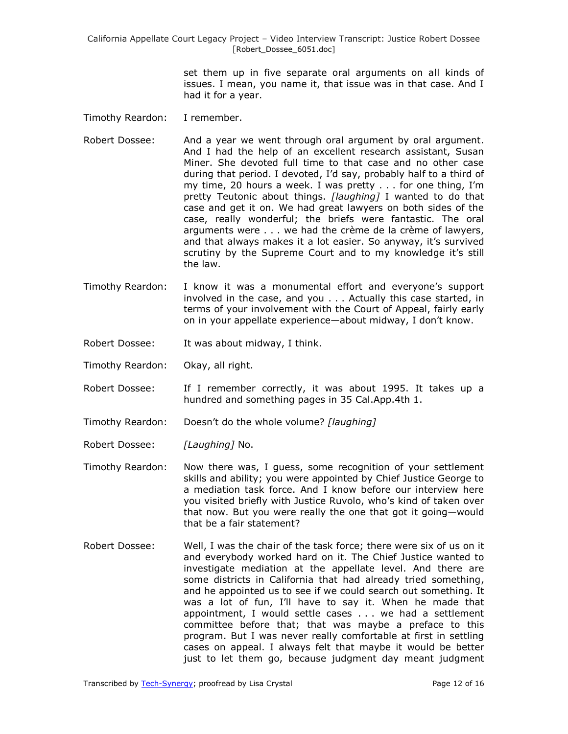> set them up in five separate oral arguments on all kinds of issues. I mean, you name it, that issue was in that case. And I had it for a year.

- Timothy Reardon: I remember.
- Robert Dossee: And a year we went through oral argument by oral argument. And I had the help of an excellent research assistant, Susan Miner. She devoted full time to that case and no other case during that period. I devoted, I'd say, probably half to a third of my time, 20 hours a week. I was pretty . . . for one thing, I'm pretty Teutonic about things. *[laughing]* I wanted to do that case and get it on. We had great lawyers on both sides of the case, really wonderful; the briefs were fantastic. The oral arguments were . . . we had the crème de la crème of lawyers, and that always makes it a lot easier. So anyway, it's survived scrutiny by the Supreme Court and to my knowledge it's still the law.
- Timothy Reardon: I know it was a monumental effort and everyone's support involved in the case, and you . . . Actually this case started, in terms of your involvement with the Court of Appeal, fairly early on in your appellate experience—about midway, I don't know.
- Robert Dossee: It was about midway, I think.
- Timothy Reardon: Okay, all right.
- Robert Dossee: If I remember correctly, it was about 1995. It takes up a hundred and something pages in 35 Cal.App.4th 1.
- Timothy Reardon: Doesn't do the whole volume? *[laughing]*
- Robert Dossee: *[Laughing]* No.
- Timothy Reardon: Now there was, I guess, some recognition of your settlement skills and ability; you were appointed by Chief Justice George to a mediation task force. And I know before our interview here you visited briefly with Justice Ruvolo, who's kind of taken over that now. But you were really the one that got it going—would that be a fair statement?
- Robert Dossee: Well, I was the chair of the task force; there were six of us on it and everybody worked hard on it. The Chief Justice wanted to investigate mediation at the appellate level. And there are some districts in California that had already tried something, and he appointed us to see if we could search out something. It was a lot of fun, I'll have to say it. When he made that appointment, I would settle cases . . . we had a settlement committee before that; that was maybe a preface to this program. But I was never really comfortable at first in settling cases on appeal. I always felt that maybe it would be better just to let them go, because judgment day meant judgment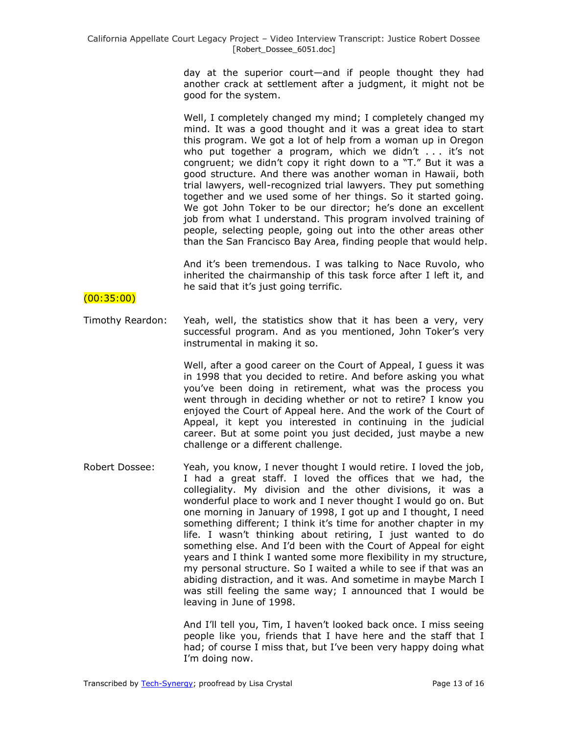day at the superior court—and if people thought they had another crack at settlement after a judgment, it might not be good for the system.

Well, I completely changed my mind; I completely changed my mind. It was a good thought and it was a great idea to start this program. We got a lot of help from a woman up in Oregon who put together a program, which we didn't . . . it's not congruent; we didn't copy it right down to a "T." But it was a good structure. And there was another woman in Hawaii, both trial lawyers, well-recognized trial lawyers. They put something together and we used some of her things. So it started going. We got John Toker to be our director; he's done an excellent job from what I understand. This program involved training of people, selecting people, going out into the other areas other than the San Francisco Bay Area, finding people that would help.

And it's been tremendous. I was talking to Nace Ruvolo, who inherited the chairmanship of this task force after I left it, and he said that it's just going terrific.

# (00:35:00)

Timothy Reardon: Yeah, well, the statistics show that it has been a very, very successful program. And as you mentioned, John Toker's very instrumental in making it so.

> Well, after a good career on the Court of Appeal, I guess it was in 1998 that you decided to retire. And before asking you what you've been doing in retirement, what was the process you went through in deciding whether or not to retire? I know you enjoyed the Court of Appeal here. And the work of the Court of Appeal, it kept you interested in continuing in the judicial career. But at some point you just decided, just maybe a new challenge or a different challenge.

Robert Dossee: Yeah, you know, I never thought I would retire. I loved the job, I had a great staff. I loved the offices that we had, the collegiality. My division and the other divisions, it was a wonderful place to work and I never thought I would go on. But one morning in January of 1998, I got up and I thought, I need something different; I think it's time for another chapter in my life. I wasn't thinking about retiring, I just wanted to do something else. And I'd been with the Court of Appeal for eight years and I think I wanted some more flexibility in my structure, my personal structure. So I waited a while to see if that was an abiding distraction, and it was. And sometime in maybe March I was still feeling the same way; I announced that I would be leaving in June of 1998.

> And I'll tell you, Tim, I haven't looked back once. I miss seeing people like you, friends that I have here and the staff that I had; of course I miss that, but I've been very happy doing what I'm doing now.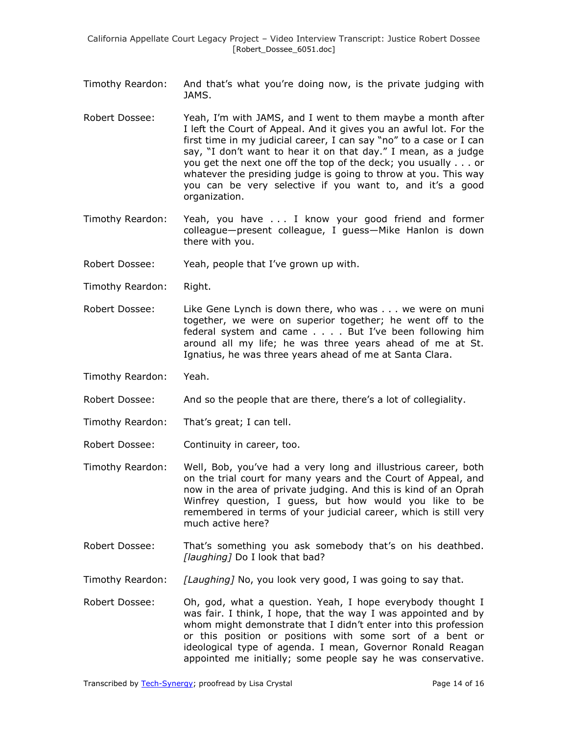- Timothy Reardon: And that's what you're doing now, is the private judging with JAMS.
- Robert Dossee: Yeah, I'm with JAMS, and I went to them maybe a month after I left the Court of Appeal. And it gives you an awful lot. For the first time in my judicial career, I can say "no" to a case or I can say, "I don't want to hear it on that day." I mean, as a judge you get the next one off the top of the deck; you usually . . . or whatever the presiding judge is going to throw at you. This way you can be very selective if you want to, and it's a good organization.
- Timothy Reardon: Yeah, you have . . . I know your good friend and former colleague—present colleague, I guess—Mike Hanlon is down there with you.
- Robert Dossee: Yeah, people that I've grown up with.
- Timothy Reardon: Right.
- Robert Dossee: Like Gene Lynch is down there, who was . . . we were on muni together, we were on superior together; he went off to the federal system and came . . . . But I've been following him around all my life; he was three years ahead of me at St. Ignatius, he was three years ahead of me at Santa Clara.
- Timothy Reardon: Yeah.
- Robert Dossee: And so the people that are there, there's a lot of collegiality.
- Timothy Reardon: That's great; I can tell.
- Robert Dossee: Continuity in career, too.
- Timothy Reardon: Well, Bob, you've had a very long and illustrious career, both on the trial court for many years and the Court of Appeal, and now in the area of private judging. And this is kind of an Oprah Winfrey question, I guess, but how would you like to be remembered in terms of your judicial career, which is still very much active here?
- Robert Dossee: That's something you ask somebody that's on his deathbed. *[laughing]* Do I look that bad?
- Timothy Reardon: *[Laughing]* No, you look very good, I was going to say that.
- Robert Dossee: Oh, god, what a question. Yeah, I hope everybody thought I was fair. I think, I hope, that the way I was appointed and by whom might demonstrate that I didn't enter into this profession or this position or positions with some sort of a bent or ideological type of agenda. I mean, Governor Ronald Reagan appointed me initially; some people say he was conservative.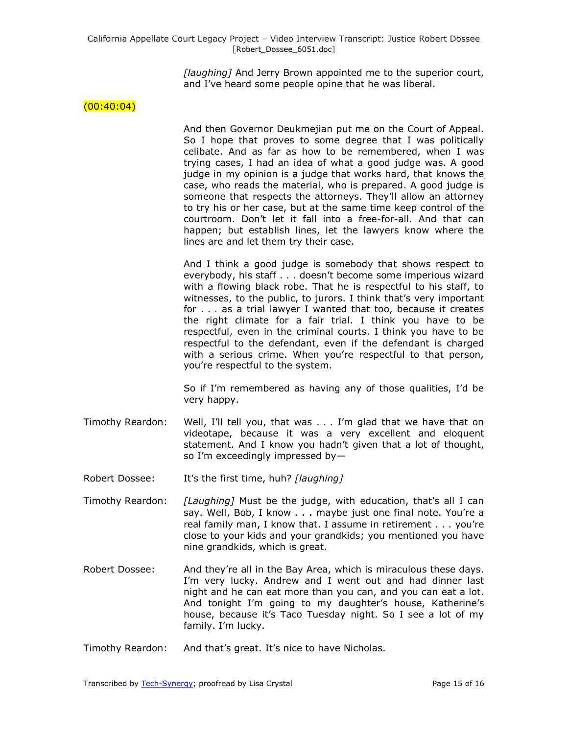*[laughing]* And Jerry Brown appointed me to the superior court, and I've heard some people opine that he was liberal.

### $(00:40:04)$

And then Governor Deukmejian put me on the Court of Appeal. So I hope that proves to some degree that I was politically celibate. And as far as how to be remembered, when I was trying cases, I had an idea of what a good judge was. A good judge in my opinion is a judge that works hard, that knows the case, who reads the material, who is prepared. A good judge is someone that respects the attorneys. They'll allow an attorney to try his or her case, but at the same time keep control of the courtroom. Don't let it fall into a free-for-all. And that can happen; but establish lines, let the lawyers know where the lines are and let them try their case.

And I think a good judge is somebody that shows respect to everybody, his staff . . . doesn't become some imperious wizard with a flowing black robe. That he is respectful to his staff, to witnesses, to the public, to jurors. I think that's very important for . . . as a trial lawyer I wanted that too, because it creates the right climate for a fair trial. I think you have to be respectful, even in the criminal courts. I think you have to be respectful to the defendant, even if the defendant is charged with a serious crime. When you're respectful to that person, you're respectful to the system.

So if I'm remembered as having any of those qualities, I'd be very happy.

Timothy Reardon: Well, I'll tell you, that was . . . I'm glad that we have that on videotape, because it was a very excellent and eloquent statement. And I know you hadn't given that a lot of thought, so I'm exceedingly impressed by—

Robert Dossee: It's the first time, huh? *[laughing]*

- Timothy Reardon: *[Laughing]* Must be the judge, with education, that's all I can say. Well, Bob, I know . . . maybe just one final note. You're a real family man, I know that. I assume in retirement . . . you're close to your kids and your grandkids; you mentioned you have nine grandkids, which is great.
- Robert Dossee: And they're all in the Bay Area, which is miraculous these days. I'm very lucky. Andrew and I went out and had dinner last night and he can eat more than you can, and you can eat a lot. And tonight I'm going to my daughter's house, Katherine's house, because it's Taco Tuesday night. So I see a lot of my family. I'm lucky.
- Timothy Reardon: And that's great. It's nice to have Nicholas.